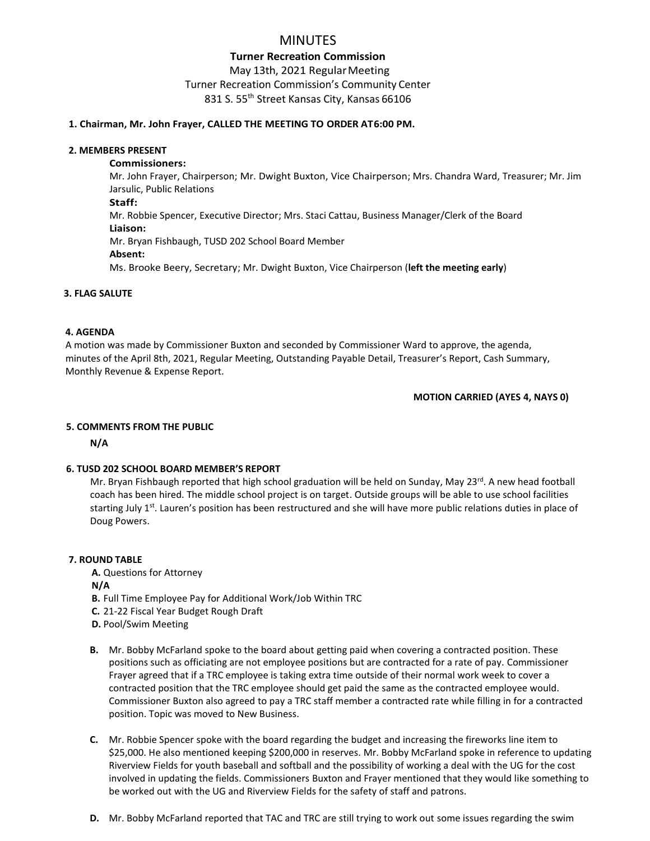# MINUTES

## **Turner Recreation Commission** May 13th, 2021 RegularMeeting Turner Recreation Commission's Community Center 831 S. 55<sup>th</sup> Street Kansas City, Kansas 66106

### **1. Chairman, Mr. John Frayer, CALLED THE MEETING TO ORDER AT6:00 PM.**

#### **2. MEMBERS PRESENT**

#### **Commissioners:**

Mr. John Frayer, Chairperson; Mr. Dwight Buxton, Vice Chairperson; Mrs. Chandra Ward, Treasurer; Mr. Jim Jarsulic, Public Relations **Staff:** Mr. Robbie Spencer, Executive Director; Mrs. Staci Cattau, Business Manager/Clerk of the Board

#### **Liaison:**

Mr. Bryan Fishbaugh, TUSD 202 School Board Member

### **Absent:**

Ms. Brooke Beery, Secretary; Mr. Dwight Buxton, Vice Chairperson (**left the meeting early**)

### **3. FLAG SALUTE**

### **4. AGENDA**

A motion was made by Commissioner Buxton and seconded by Commissioner Ward to approve, the agenda, minutes of the April 8th, 2021, Regular Meeting, Outstanding Payable Detail, Treasurer's Report, Cash Summary, Monthly Revenue & Expense Report.

#### **MOTION CARRIED (AYES 4, NAYS 0)**

### **5. COMMENTS FROM THE PUBLIC**

 **N/A**

### **6. TUSD 202 SCHOOL BOARD MEMBER'S REPORT**

Mr. Bryan Fishbaugh reported that high school graduation will be held on Sunday, May 23<sup>rd</sup>. A new head football coach has been hired. The middle school project is on target. Outside groups will be able to use school facilities starting July 1<sup>st</sup>. Lauren's position has been restructured and she will have more public relations duties in place of Doug Powers.

#### **7. ROUND TABLE**

**A.** Questions for Attorney

**N/A**

- **B.** Full Time Employee Pay for Additional Work/Job Within TRC
- **C.** 21-22 Fiscal Year Budget Rough Draft
- **D.** Pool/Swim Meeting
- **B.** Mr. Bobby McFarland spoke to the board about getting paid when covering a contracted position. These positions such as officiating are not employee positions but are contracted for a rate of pay. Commissioner Frayer agreed that if a TRC employee is taking extra time outside of their normal work week to cover a contracted position that the TRC employee should get paid the same as the contracted employee would. Commissioner Buxton also agreed to pay a TRC staff member a contracted rate while filling in for a contracted position. Topic was moved to New Business.
- **C.** Mr. Robbie Spencer spoke with the board regarding the budget and increasing the fireworks line item to \$25,000. He also mentioned keeping \$200,000 in reserves. Mr. Bobby McFarland spoke in reference to updating Riverview Fields for youth baseball and softball and the possibility of working a deal with the UG for the cost involved in updating the fields. Commissioners Buxton and Frayer mentioned that they would like something to be worked out with the UG and Riverview Fields for the safety of staff and patrons.
- **D.** Mr. Bobby McFarland reported that TAC and TRC are still trying to work out some issues regarding the swim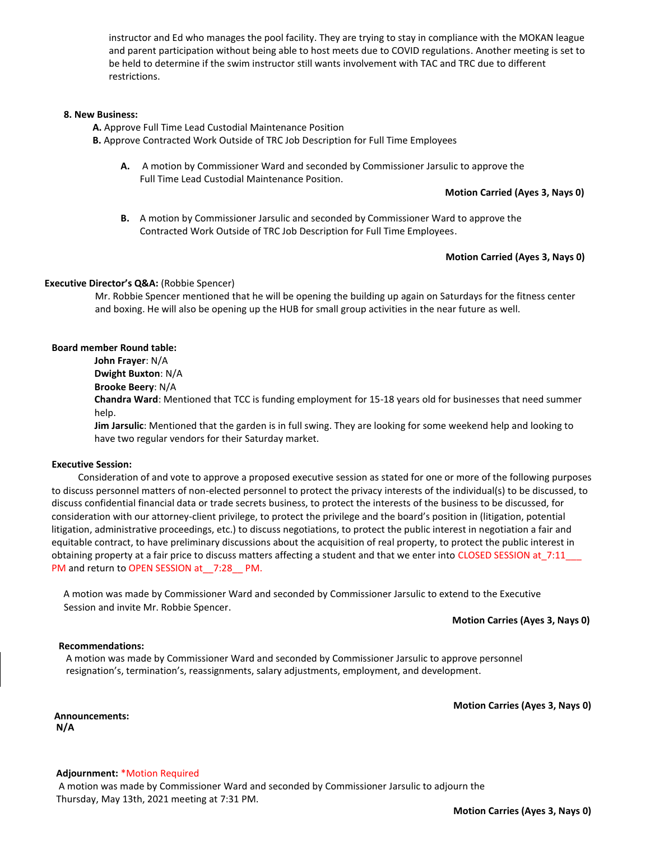instructor and Ed who manages the pool facility. They are trying to stay in compliance with the MOKAN league and parent participation without being able to host meets due to COVID regulations. Another meeting is set to be held to determine if the swim instructor still wants involvement with TAC and TRC due to different restrictions.

#### **8. New Business:**

**A.** Approve Full Time Lead Custodial Maintenance Position

**B.** Approve Contracted Work Outside of TRC Job Description for Full Time Employees

**A.** A motion by Commissioner Ward and seconded by Commissioner Jarsulic to approve the Full Time Lead Custodial Maintenance Position.

**Motion Carried (Ayes 3, Nays 0)**

**B.** A motion by Commissioner Jarsulic and seconded by Commissioner Ward to approve the Contracted Work Outside of TRC Job Description for Full Time Employees.

#### **Motion Carried (Ayes 3, Nays 0)**

#### **Executive Director's Q&A:** (Robbie Spencer)

 Mr. Robbie Spencer mentioned that he will be opening the building up again on Saturdays for the fitness center and boxing. He will also be opening up the HUB for small group activities in the near future as well.

#### **Board member Round table:**

**John Frayer**: N/A **Dwight Buxton**: N/A **Brooke Beery**: N/A **Chandra Ward**: Mentioned that TCC is funding employment for 15-18 years old for businesses that need summer help.

**Jim Jarsulic**: Mentioned that the garden is in full swing. They are looking for some weekend help and looking to have two regular vendors for their Saturday market.

#### **Executive Session:**

 Consideration of and vote to approve a proposed executive session as stated for one or more of the following purposes to discuss personnel matters of non-elected personnel to protect the privacy interests of the individual(s) to be discussed, to discuss confidential financial data or trade secrets business, to protect the interests of the business to be discussed, for consideration with our attorney-client privilege, to protect the privilege and the board's position in (litigation, potential litigation, administrative proceedings, etc.) to discuss negotiations, to protect the public interest in negotiation a fair and equitable contract, to have preliminary discussions about the acquisition of real property, to protect the public interest in obtaining property at a fair price to discuss matters affecting a student and that we enter into CLOSED SESSION at\_7:11\_\_\_ PM and return to OPEN SESSION at 7:28 PM.

 A motion was made by Commissioner Ward and seconded by Commissioner Jarsulic to extend to the Executive Session and invite Mr. Robbie Spencer.

**Motion Carries (Ayes 3, Nays 0)**

#### **Recommendations:**

 A motion was made by Commissioner Ward and seconded by Commissioner Jarsulic to approve personnel resignation's, termination's, reassignments, salary adjustments, employment, and development.

**Motion Carries (Ayes 3, Nays 0)**

 **Announcements: N/A**

#### **Adjournment:** \*Motion Required

A motion was made by Commissioner Ward and seconded by Commissioner Jarsulic to adjourn the Thursday, May 13th, 2021 meeting at 7:31 PM.